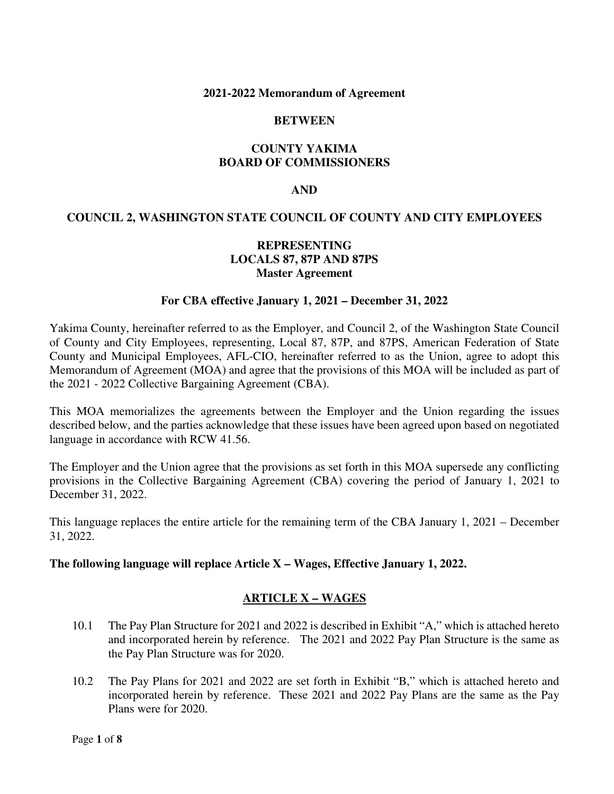#### **2021-2022 Memorandum of Agreement**

### **BETWEEN**

# **COUNTY YAKIMA BOARD OF COMMISSIONERS**

#### **AND**

# **COUNCIL 2, WASHINGTON STATE COUNCIL OF COUNTY AND CITY EMPLOYEES**

# **REPRESENTING LOCALS 87, 87P AND 87PS Master Agreement**

#### **For CBA effective January 1, 2021 – December 31, 2022**

Yakima County, hereinafter referred to as the Employer, and Council 2, of the Washington State Council of County and City Employees, representing, Local 87, 87P, and 87PS, American Federation of State County and Municipal Employees, AFL-CIO, hereinafter referred to as the Union, agree to adopt this Memorandum of Agreement (MOA) and agree that the provisions of this MOA will be included as part of the 2021 - 2022 Collective Bargaining Agreement (CBA).

This MOA memorializes the agreements between the Employer and the Union regarding the issues described below, and the parties acknowledge that these issues have been agreed upon based on negotiated language in accordance with RCW 41.56.

The Employer and the Union agree that the provisions as set forth in this MOA supersede any conflicting provisions in the Collective Bargaining Agreement (CBA) covering the period of January 1, 2021 to December 31, 2022.

This language replaces the entire article for the remaining term of the CBA January 1, 2021 – December 31, 2022.

#### **The following language will replace Article X – Wages, Effective January 1, 2022.**

# **ARTICLE X – WAGES**

- 10.1 The Pay Plan Structure for 2021 and 2022 is described in Exhibit "A," which is attached hereto and incorporated herein by reference. The 2021 and 2022 Pay Plan Structure is the same as the Pay Plan Structure was for 2020.
- 10.2 The Pay Plans for 2021 and 2022 are set forth in Exhibit "B," which is attached hereto and incorporated herein by reference. These 2021 and 2022 Pay Plans are the same as the Pay Plans were for 2020.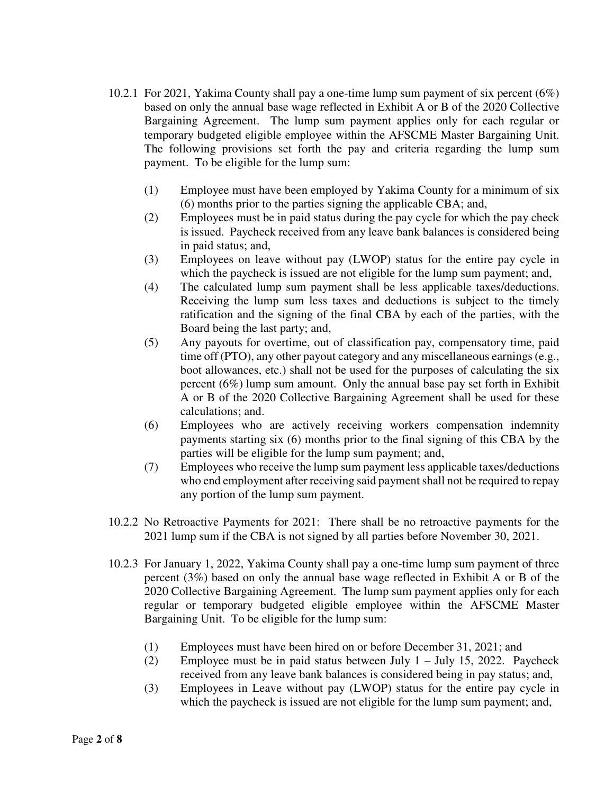- 10.2.1 For 2021, Yakima County shall pay a one-time lump sum payment of six percent (6%) based on only the annual base wage reflected in Exhibit A or B of the 2020 Collective Bargaining Agreement. The lump sum payment applies only for each regular or temporary budgeted eligible employee within the AFSCME Master Bargaining Unit. The following provisions set forth the pay and criteria regarding the lump sum payment. To be eligible for the lump sum:
	- (1) Employee must have been employed by Yakima County for a minimum of six (6) months prior to the parties signing the applicable CBA; and,
	- (2) Employees must be in paid status during the pay cycle for which the pay check is issued. Paycheck received from any leave bank balances is considered being in paid status; and,
	- (3) Employees on leave without pay (LWOP) status for the entire pay cycle in which the paycheck is issued are not eligible for the lump sum payment; and,
	- (4) The calculated lump sum payment shall be less applicable taxes/deductions. Receiving the lump sum less taxes and deductions is subject to the timely ratification and the signing of the final CBA by each of the parties, with the Board being the last party; and,
	- (5) Any payouts for overtime, out of classification pay, compensatory time, paid time off (PTO), any other payout category and any miscellaneous earnings (e.g., boot allowances, etc.) shall not be used for the purposes of calculating the six percent (6%) lump sum amount. Only the annual base pay set forth in Exhibit A or B of the 2020 Collective Bargaining Agreement shall be used for these calculations; and.
	- (6) Employees who are actively receiving workers compensation indemnity payments starting six (6) months prior to the final signing of this CBA by the parties will be eligible for the lump sum payment; and,
	- (7) Employees who receive the lump sum payment less applicable taxes/deductions who end employment after receiving said payment shall not be required to repay any portion of the lump sum payment.
- 10.2.2 No Retroactive Payments for 2021: There shall be no retroactive payments for the 2021 lump sum if the CBA is not signed by all parties before November 30, 2021.
- 10.2.3 For January 1, 2022, Yakima County shall pay a one-time lump sum payment of three percent (3%) based on only the annual base wage reflected in Exhibit A or B of the 2020 Collective Bargaining Agreement. The lump sum payment applies only for each regular or temporary budgeted eligible employee within the AFSCME Master Bargaining Unit. To be eligible for the lump sum:
	- (1) Employees must have been hired on or before December 31, 2021; and
	- (2) Employee must be in paid status between July 1 July 15, 2022. Paycheck received from any leave bank balances is considered being in pay status; and,
	- (3) Employees in Leave without pay (LWOP) status for the entire pay cycle in which the paycheck is issued are not eligible for the lump sum payment; and,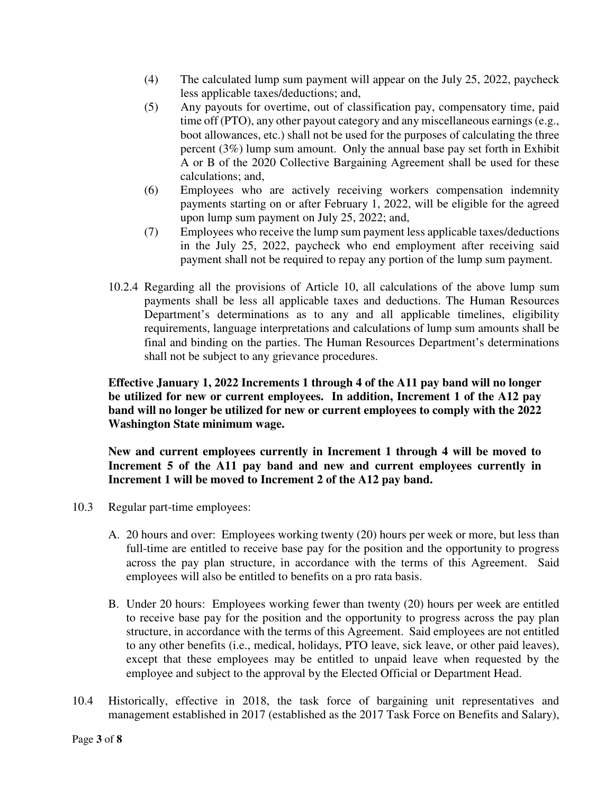- (4) The calculated lump sum payment will appear on the July 25, 2022, paycheck less applicable taxes/deductions; and,
- (5) Any payouts for overtime, out of classification pay, compensatory time, paid time off (PTO), any other payout category and any miscellaneous earnings (e.g., boot allowances, etc.) shall not be used for the purposes of calculating the three percent (3%) lump sum amount. Only the annual base pay set forth in Exhibit A or B of the 2020 Collective Bargaining Agreement shall be used for these calculations; and,
- (6) Employees who are actively receiving workers compensation indemnity payments starting on or after February 1, 2022, will be eligible for the agreed upon lump sum payment on July 25, 2022; and,
- (7) Employees who receive the lump sum payment less applicable taxes/deductions in the July 25, 2022, paycheck who end employment after receiving said payment shall not be required to repay any portion of the lump sum payment.
- 10.2.4 Regarding all the provisions of Article 10, all calculations of the above lump sum payments shall be less all applicable taxes and deductions. The Human Resources Department's determinations as to any and all applicable timelines, eligibility requirements, language interpretations and calculations of lump sum amounts shall be final and binding on the parties. The Human Resources Department's determinations shall not be subject to any grievance procedures.

**Effective January 1, 2022 Increments 1 through 4 of the A11 pay band will no longer be utilized for new or current employees. In addition, Increment 1 of the A12 pay band will no longer be utilized for new or current employees to comply with the 2022 Washington State minimum wage.** 

**New and current employees currently in Increment 1 through 4 will be moved to Increment 5 of the A11 pay band and new and current employees currently in Increment 1 will be moved to Increment 2 of the A12 pay band.** 

- 10.3 Regular part-time employees:
	- A. 20 hours and over: Employees working twenty (20) hours per week or more, but less than full-time are entitled to receive base pay for the position and the opportunity to progress across the pay plan structure, in accordance with the terms of this Agreement. Said employees will also be entitled to benefits on a pro rata basis.
	- B. Under 20 hours: Employees working fewer than twenty (20) hours per week are entitled to receive base pay for the position and the opportunity to progress across the pay plan structure, in accordance with the terms of this Agreement. Said employees are not entitled to any other benefits (i.e., medical, holidays, PTO leave, sick leave, or other paid leaves), except that these employees may be entitled to unpaid leave when requested by the employee and subject to the approval by the Elected Official or Department Head.
- 10.4 Historically, effective in 2018, the task force of bargaining unit representatives and management established in 2017 (established as the 2017 Task Force on Benefits and Salary),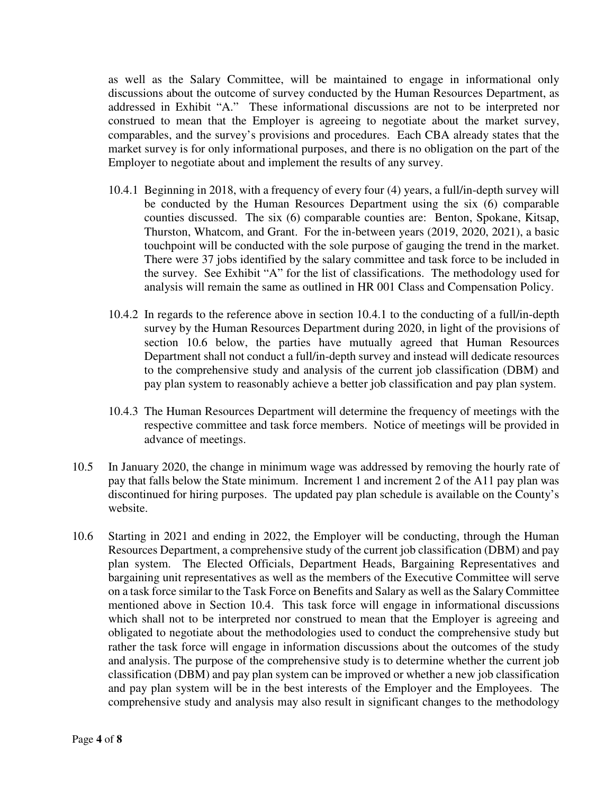as well as the Salary Committee, will be maintained to engage in informational only discussions about the outcome of survey conducted by the Human Resources Department, as addressed in Exhibit "A." These informational discussions are not to be interpreted nor construed to mean that the Employer is agreeing to negotiate about the market survey, comparables, and the survey's provisions and procedures. Each CBA already states that the market survey is for only informational purposes, and there is no obligation on the part of the Employer to negotiate about and implement the results of any survey.

- 10.4.1 Beginning in 2018, with a frequency of every four (4) years, a full/in-depth survey will be conducted by the Human Resources Department using the six (6) comparable counties discussed. The six (6) comparable counties are: Benton, Spokane, Kitsap, Thurston, Whatcom, and Grant. For the in-between years (2019, 2020, 2021), a basic touchpoint will be conducted with the sole purpose of gauging the trend in the market. There were 37 jobs identified by the salary committee and task force to be included in the survey. See Exhibit "A" for the list of classifications. The methodology used for analysis will remain the same as outlined in HR 001 Class and Compensation Policy.
- 10.4.2 In regards to the reference above in section 10.4.1 to the conducting of a full/in-depth survey by the Human Resources Department during 2020, in light of the provisions of section 10.6 below, the parties have mutually agreed that Human Resources Department shall not conduct a full/in-depth survey and instead will dedicate resources to the comprehensive study and analysis of the current job classification (DBM) and pay plan system to reasonably achieve a better job classification and pay plan system.
- 10.4.3 The Human Resources Department will determine the frequency of meetings with the respective committee and task force members. Notice of meetings will be provided in advance of meetings.
- 10.5 In January 2020, the change in minimum wage was addressed by removing the hourly rate of pay that falls below the State minimum. Increment 1 and increment 2 of the A11 pay plan was discontinued for hiring purposes. The updated pay plan schedule is available on the County's website.
- 10.6 Starting in 2021 and ending in 2022, the Employer will be conducting, through the Human Resources Department, a comprehensive study of the current job classification (DBM) and pay plan system. The Elected Officials, Department Heads, Bargaining Representatives and bargaining unit representatives as well as the members of the Executive Committee will serve on a task force similar to the Task Force on Benefits and Salary as well as the Salary Committee mentioned above in Section 10.4. This task force will engage in informational discussions which shall not to be interpreted nor construed to mean that the Employer is agreeing and obligated to negotiate about the methodologies used to conduct the comprehensive study but rather the task force will engage in information discussions about the outcomes of the study and analysis. The purpose of the comprehensive study is to determine whether the current job classification (DBM) and pay plan system can be improved or whether a new job classification and pay plan system will be in the best interests of the Employer and the Employees. The comprehensive study and analysis may also result in significant changes to the methodology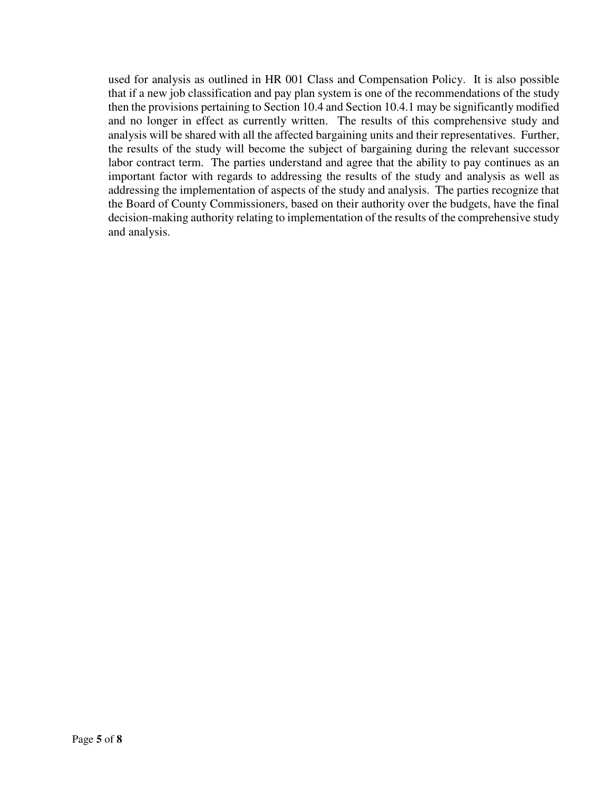used for analysis as outlined in HR 001 Class and Compensation Policy. It is also possible that if a new job classification and pay plan system is one of the recommendations of the study then the provisions pertaining to Section 10.4 and Section 10.4.1 may be significantly modified and no longer in effect as currently written. The results of this comprehensive study and analysis will be shared with all the affected bargaining units and their representatives. Further, the results of the study will become the subject of bargaining during the relevant successor labor contract term. The parties understand and agree that the ability to pay continues as an important factor with regards to addressing the results of the study and analysis as well as addressing the implementation of aspects of the study and analysis. The parties recognize that the Board of County Commissioners, based on their authority over the budgets, have the final decision-making authority relating to implementation of the results of the comprehensive study and analysis.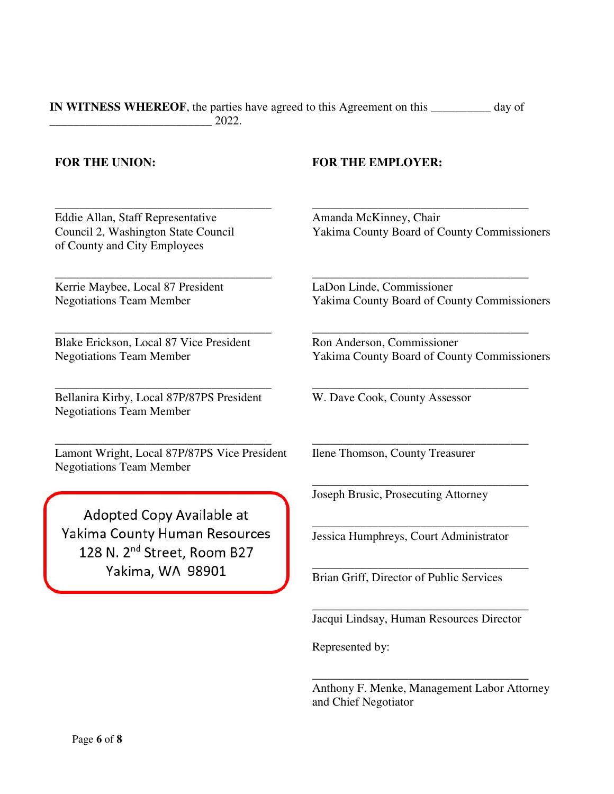| IN WITNESS WHEREOF, the parties have agreed to this Agreement on this | day of |
|-----------------------------------------------------------------------|--------|
| 2022.                                                                 |        |

# **FOR THE UNION: FOR THE EMPLOYER:**

Eddie Allan, Staff Representative Council 2, Washington State Council of County and City Employees

\_\_\_\_\_\_\_\_\_\_\_\_\_\_\_\_\_\_\_\_\_\_\_\_\_\_\_\_\_\_\_\_\_\_\_\_

\_\_\_\_\_\_\_\_\_\_\_\_\_\_\_\_\_\_\_\_\_\_\_\_\_\_\_\_\_\_\_\_\_\_\_\_

\_\_\_\_\_\_\_\_\_\_\_\_\_\_\_\_\_\_\_\_\_\_\_\_\_\_\_\_\_\_\_\_\_\_\_\_

Kerrie Maybee, Local 87 President Negotiations Team Member

Blake Erickson, Local 87 Vice President Negotiations Team Member

Bellanira Kirby, Local 87P/87PS President Negotiations Team Member

\_\_\_\_\_\_\_\_\_\_\_\_\_\_\_\_\_\_\_\_\_\_\_\_\_\_\_\_\_\_\_\_\_\_\_\_

Lamont Wright, Local 87P/87PS Vice President Negotiations Team Member

\_\_\_\_\_\_\_\_\_\_\_\_\_\_\_\_\_\_\_\_\_\_\_\_\_\_\_\_\_\_\_\_\_\_\_\_

Adopted Copy Available at Yakima County Human Resources 128 N. 2<sup>nd</sup> Street, Room B27 Yakima, WA 98901

Amanda McKinney, Chair Yakima County Board of County Commissioners

\_\_\_\_\_\_\_\_\_\_\_\_\_\_\_\_\_\_\_\_\_\_\_\_\_\_\_\_\_\_\_\_\_\_\_\_

\_\_\_\_\_\_\_\_\_\_\_\_\_\_\_\_\_\_\_\_\_\_\_\_\_\_\_\_\_\_\_\_\_\_\_\_

\_\_\_\_\_\_\_\_\_\_\_\_\_\_\_\_\_\_\_\_\_\_\_\_\_\_\_\_\_\_\_\_\_\_\_\_

\_\_\_\_\_\_\_\_\_\_\_\_\_\_\_\_\_\_\_\_\_\_\_\_\_\_\_\_\_\_\_\_\_\_\_\_

\_\_\_\_\_\_\_\_\_\_\_\_\_\_\_\_\_\_\_\_\_\_\_\_\_\_\_\_\_\_\_\_\_\_\_\_

\_\_\_\_\_\_\_\_\_\_\_\_\_\_\_\_\_\_\_\_\_\_\_\_\_\_\_\_\_\_\_\_\_\_\_\_

\_\_\_\_\_\_\_\_\_\_\_\_\_\_\_\_\_\_\_\_\_\_\_\_\_\_\_\_\_\_\_\_\_\_\_\_

\_\_\_\_\_\_\_\_\_\_\_\_\_\_\_\_\_\_\_\_\_\_\_\_\_\_\_\_\_\_\_\_\_\_\_\_

LaDon Linde, Commissioner Yakima County Board of County Commissioners

Ron Anderson, Commissioner Yakima County Board of County Commissioners

W. Dave Cook, County Assessor

Ilene Thomson, County Treasurer

Joseph Brusic, Prosecuting Attorney

Jessica Humphreys, Court Administrator

Brian Griff, Director of Public Services

\_\_\_\_\_\_\_\_\_\_\_\_\_\_\_\_\_\_\_\_\_\_\_\_\_\_\_\_\_\_\_\_\_\_\_\_ Jacqui Lindsay, Human Resources Director

Represented by:

Anthony F. Menke, Management Labor Attorney and Chief Negotiator

\_\_\_\_\_\_\_\_\_\_\_\_\_\_\_\_\_\_\_\_\_\_\_\_\_\_\_\_\_\_\_\_\_\_\_\_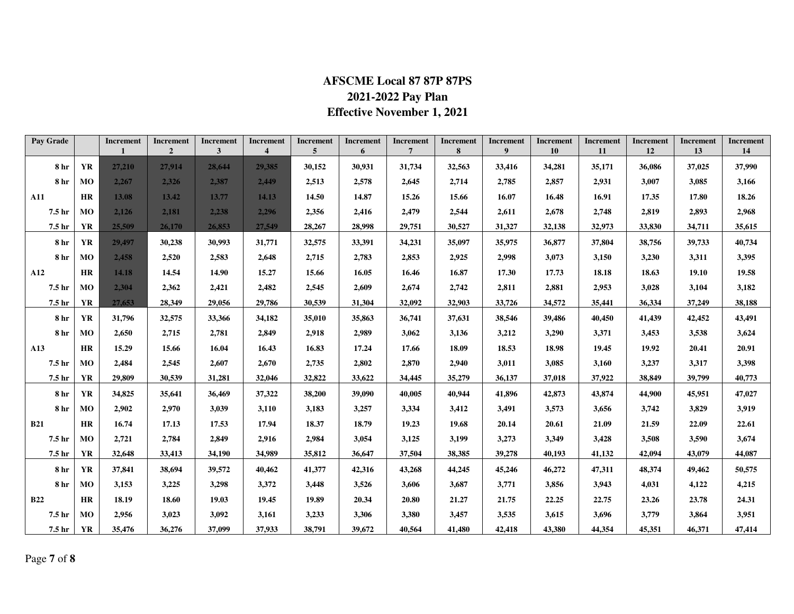# **AFSCME Local 87 87P 87PS 2021-2022 Pay Plan Effective November 1, 2021**

| Pay Grade         |           | Increment | Increment<br>$\overline{2}$ | Increment<br>$\mathbf{3}$ | Increment<br>$\overline{\mathbf{4}}$ | Increment<br>5 | <b>Increment</b><br>6 | Increment<br>7 | Increment<br>8 | <b>Increment</b><br>9 | <b>Increment</b><br>10 | <b>Increment</b><br>11 | <b>Increment</b><br>12 | Increment<br>13 | Increment<br>14 |
|-------------------|-----------|-----------|-----------------------------|---------------------------|--------------------------------------|----------------|-----------------------|----------------|----------------|-----------------------|------------------------|------------------------|------------------------|-----------------|-----------------|
| 8 <sub>hr</sub>   | <b>YR</b> | 27,210    | 27.914                      | 28,644                    | 29,385                               | 30,152         | 30,931                | 31,734         | 32,563         | 33,416                | 34,281                 | 35,171                 | 36,086                 | 37,025          | 37,990          |
| 8 hr              | MO        | 2,267     | 2,326                       | 2.387                     | 2,449                                | 2,513          | 2,578                 | 2,645          | 2,714          | 2,785                 | 2,857                  | 2,931                  | 3,007                  | 3,085           | 3,166           |
| <b>A11</b>        | <b>HR</b> | 13.08     | 13.42                       | 13.77                     | 14.13                                | 14.50          | 14.87                 | 15.26          | 15.66          | 16.07                 | 16.48                  | 16.91                  | 17.35                  | 17.80           | 18.26           |
| 7.5 <sub>hr</sub> | <b>MO</b> | 2.126     | 2.181                       | 2.238                     | 2.296                                | 2.356          | 2,416                 | 2,479          | 2,544          | 2,611                 | 2.678                  | 2,748                  | 2,819                  | 2,893           | 2,968           |
| 7.5 hr            | YR        | 25,509    | 26,170                      | 26,853                    | 27,549                               | 28,267         | 28,998                | 29,751         | 30,527         | 31,327                | 32,138                 | 32,973                 | 33,830                 | 34,711          | 35,615          |
| 8 <sub>hr</sub>   | <b>YR</b> | 29,497    | 30,238                      | 30.993                    | 31,771                               | 32,575         | 33,391                | 34,231         | 35,097         | 35,975                | 36,877                 | 37,804                 | 38,756                 | 39,733          | 40,734          |
| 8 <sub>hr</sub>   | MO        | 2,458     | 2,520                       | 2,583                     | 2,648                                | 2,715          | 2,783                 | 2,853          | 2,925          | 2,998                 | 3,073                  | 3,150                  | 3,230                  | 3,311           | 3,395           |
| A12               | <b>HR</b> | 14.18     | 14.54                       | 14.90                     | 15.27                                | 15.66          | 16.05                 | 16.46          | 16.87          | 17.30                 | 17.73                  | 18.18                  | 18.63                  | 19.10           | 19.58           |
| 7.5 hr            | MO        | 2.304     | 2,362                       | 2,421                     | 2,482                                | 2.545          | 2,609                 | 2,674          | 2,742          | 2,811                 | 2,881                  | 2,953                  | 3,028                  | 3,104           | 3,182           |
| 7.5 hr            | <b>YR</b> | 27,653    | 28,349                      | 29,056                    | 29,786                               | 30,539         | 31,304                | 32,092         | 32,903         | 33,726                | 34,572                 | 35,441                 | 36,334                 | 37,249          | 38,188          |
| 8 hr              | <b>YR</b> | 31,796    | 32,575                      | 33,366                    | 34,182                               | 35,010         | 35,863                | 36,741         | 37,631         | 38,546                | 39,486                 | 40,450                 | 41,439                 | 42,452          | 43,491          |
| 8 hr              | MO        | 2,650     | 2,715                       | 2,781                     | 2,849                                | 2,918          | 2,989                 | 3,062          | 3,136          | 3,212                 | 3,290                  | 3,371                  | 3,453                  | 3,538           | 3,624           |
| A13               | <b>HR</b> | 15.29     | 15.66                       | 16.04                     | 16.43                                | 16.83          | 17.24                 | 17.66          | 18.09          | 18.53                 | 18.98                  | 19.45                  | 19.92                  | 20.41           | 20.91           |
| 7.5 hr            | <b>MO</b> | 2,484     | 2,545                       | 2,607                     | 2,670                                | 2,735          | 2,802                 | 2,870          | 2,940          | 3,011                 | 3,085                  | 3,160                  | 3,237                  | 3,317           | 3,398           |
| 7.5 hr            | YR        | 29,809    | 30,539                      | 31,281                    | 32,046                               | 32,822         | 33,622                | 34,445         | 35,279         | 36,137                | 37,018                 | 37,922                 | 38,849                 | 39,799          | 40,773          |
| 8 hr              | YR        | 34,825    | 35,641                      | 36,469                    | 37,322                               | 38,200         | 39,090                | 40,005         | 40,944         | 41,896                | 42,873                 | 43,874                 | 44,900                 | 45,951          | 47,027          |
| 8 <sub>hr</sub>   | MO        | 2,902     | 2,970                       | 3,039                     | 3,110                                | 3,183          | 3,257                 | 3,334          | 3,412          | 3,491                 | 3,573                  | 3,656                  | 3,742                  | 3,829           | 3,919           |
| <b>B21</b>        | <b>HR</b> | 16.74     | 17.13                       | 17.53                     | 17.94                                | 18.37          | 18.79                 | 19.23          | 19.68          | 20.14                 | 20.61                  | 21.09                  | 21.59                  | 22.09           | 22.61           |
| 7.5 hr            | <b>MO</b> | 2,721     | 2,784                       | 2,849                     | 2,916                                | 2,984          | 3,054                 | 3,125          | 3,199          | 3,273                 | 3,349                  | 3,428                  | 3,508                  | 3,590           | 3,674           |
| 7.5 hr            | YR        | 32,648    | 33,413                      | 34,190                    | 34,989                               | 35,812         | 36,647                | 37,504         | 38,385         | 39,278                | 40.193                 | 41,132                 | 42,094                 | 43,079          | 44,087          |
| 8 hr              | YR        | 37,841    | 38,694                      | 39,572                    | 40,462                               | 41,377         | 42,316                | 43,268         | 44,245         | 45,246                | 46,272                 | 47,311                 | 48,374                 | 49,462          | 50,575          |
| 8 hr              | <b>MO</b> | 3,153     | 3,225                       | 3,298                     | 3,372                                | 3,448          | 3,526                 | 3,606          | 3,687          | 3,771                 | 3,856                  | 3,943                  | 4,031                  | 4,122           | 4,215           |
| <b>B22</b>        | <b>HR</b> | 18.19     | 18.60                       | 19.03                     | 19.45                                | 19.89          | 20.34                 | 20.80          | 21.27          | 21.75                 | 22.25                  | 22.75                  | 23.26                  | 23.78           | 24.31           |
| 7.5 hr            | <b>MO</b> | 2,956     | 3,023                       | 3,092                     | 3,161                                | 3,233          | 3,306                 | 3,380          | 3,457          | 3,535                 | 3,615                  | 3,696                  | 3,779                  | 3,864           | 3,951           |
| 7.5 <sub>hr</sub> | YR        | 35,476    | 36,276                      | 37,099                    | 37,933                               | 38,791         | 39,672                | 40,564         | 41,480         | 42,418                | 43,380                 | 44,354                 | 45,351                 | 46,371          | 47,414          |